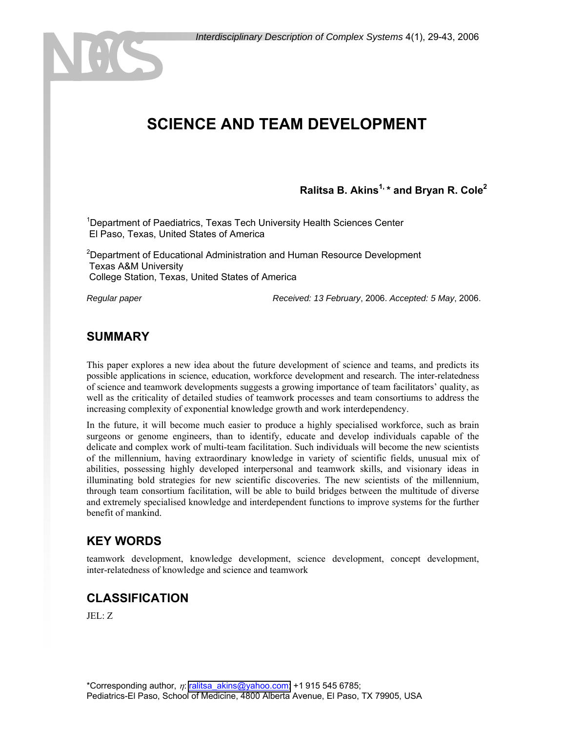# **SCIENCE AND TEAM DEVELOPMENT**

### **Ralitsa B. Akins1, \* and Bryan R. Cole2**

<sup>1</sup>Department of Paediatrics, Texas Tech University Health Sciences Center El Paso, Texas, United States of America

<sup>2</sup>Department of Educational Administration and Human Resource Development Texas A&M University College Station, Texas, United States of America

*Regular paper Received: 13 February*, 2006. *Accepted: 5 May*, 2006.

#### **SUMMARY**

This paper explores a new idea about the future development of science and teams, and predicts its possible applications in science, education, workforce development and research. The inter-relatedness of science and teamwork developments suggests a growing importance of team facilitators' quality, as well as the criticality of detailed studies of teamwork processes and team consortiums to address the increasing complexity of exponential knowledge growth and work interdependency.

In the future, it will become much easier to produce a highly specialised workforce, such as brain surgeons or genome engineers, than to identify, educate and develop individuals capable of the delicate and complex work of multi-team facilitation. Such individuals will become the new scientists of the millennium, having extraordinary knowledge in variety of scientific fields, unusual mix of abilities, possessing highly developed interpersonal and teamwork skills, and visionary ideas in illuminating bold strategies for new scientific discoveries. The new scientists of the millennium, through team consortium facilitation, will be able to build bridges between the multitude of diverse and extremely specialised knowledge and interdependent functions to improve systems for the further benefit of mankind.

#### **KEY WORDS**

teamwork development, knowledge development, science development, concept development, inter-relatedness of knowledge and science and teamwork

#### **CLASSIFICATION**

JEL: Z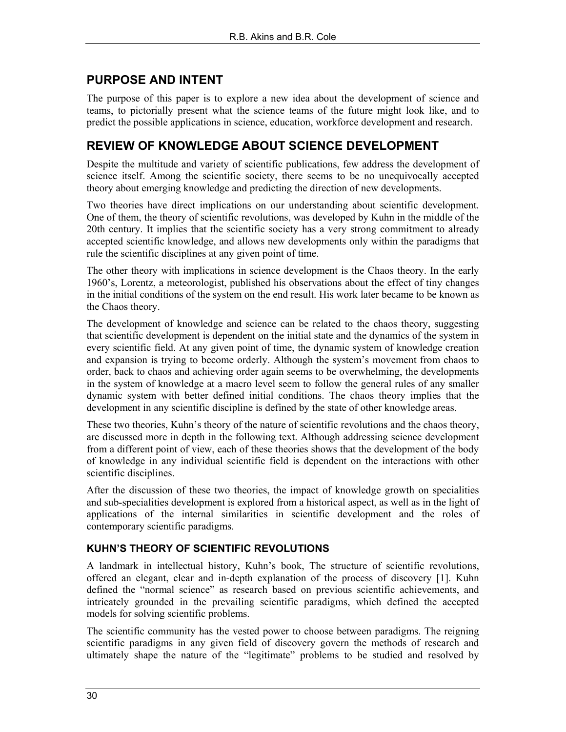## **PURPOSE AND INTENT**

The purpose of this paper is to explore a new idea about the development of science and teams, to pictorially present what the science teams of the future might look like, and to predict the possible applications in science, education, workforce development and research.

### **REVIEW OF KNOWLEDGE ABOUT SCIENCE DEVELOPMENT**

Despite the multitude and variety of scientific publications, few address the development of science itself. Among the scientific society, there seems to be no unequivocally accepted theory about emerging knowledge and predicting the direction of new developments.

Two theories have direct implications on our understanding about scientific development. One of them, the theory of scientific revolutions, was developed by Kuhn in the middle of the 20th century. It implies that the scientific society has a very strong commitment to already accepted scientific knowledge, and allows new developments only within the paradigms that rule the scientific disciplines at any given point of time.

The other theory with implications in science development is the Chaos theory. In the early 1960's, Lorentz, a meteorologist, published his observations about the effect of tiny changes in the initial conditions of the system on the end result. His work later became to be known as the Chaos theory.

The development of knowledge and science can be related to the chaos theory, suggesting that scientific development is dependent on the initial state and the dynamics of the system in every scientific field. At any given point of time, the dynamic system of knowledge creation and expansion is trying to become orderly. Although the system's movement from chaos to order, back to chaos and achieving order again seems to be overwhelming, the developments in the system of knowledge at a macro level seem to follow the general rules of any smaller dynamic system with better defined initial conditions. The chaos theory implies that the development in any scientific discipline is defined by the state of other knowledge areas.

These two theories, Kuhn's theory of the nature of scientific revolutions and the chaos theory, are discussed more in depth in the following text. Although addressing science development from a different point of view, each of these theories shows that the development of the body of knowledge in any individual scientific field is dependent on the interactions with other scientific disciplines.

After the discussion of these two theories, the impact of knowledge growth on specialities and sub-specialities development is explored from a historical aspect, as well as in the light of applications of the internal similarities in scientific development and the roles of contemporary scientific paradigms.

#### **KUHN'S THEORY OF SCIENTIFIC REVOLUTIONS**

A landmark in intellectual history, Kuhn's book, The structure of scientific revolutions, offered an elegant, clear and in-depth explanation of the process of discovery [1]. Kuhn defined the "normal science" as research based on previous scientific achievements, and intricately grounded in the prevailing scientific paradigms, which defined the accepted models for solving scientific problems.

The scientific community has the vested power to choose between paradigms. The reigning scientific paradigms in any given field of discovery govern the methods of research and ultimately shape the nature of the "legitimate" problems to be studied and resolved by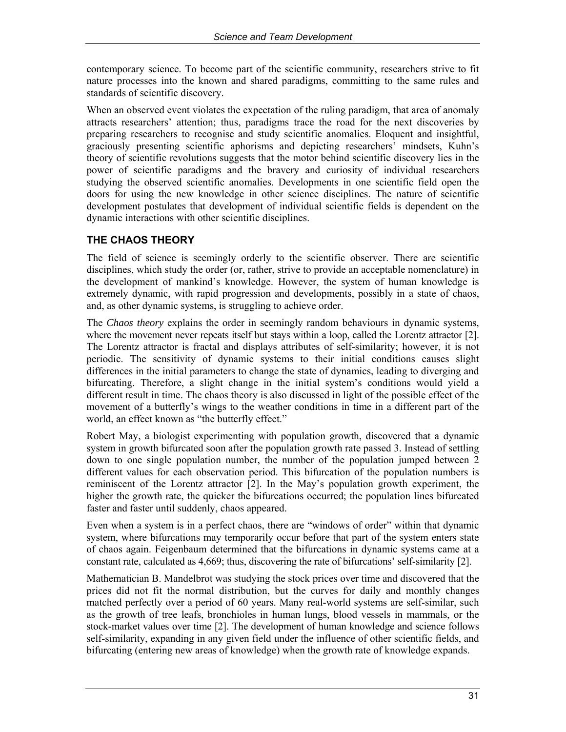contemporary science. To become part of the scientific community, researchers strive to fit nature processes into the known and shared paradigms, committing to the same rules and standards of scientific discovery.

When an observed event violates the expectation of the ruling paradigm, that area of anomaly attracts researchers' attention; thus, paradigms trace the road for the next discoveries by preparing researchers to recognise and study scientific anomalies. Eloquent and insightful, graciously presenting scientific aphorisms and depicting researchers' mindsets, Kuhn's theory of scientific revolutions suggests that the motor behind scientific discovery lies in the power of scientific paradigms and the bravery and curiosity of individual researchers studying the observed scientific anomalies. Developments in one scientific field open the doors for using the new knowledge in other science disciplines. The nature of scientific development postulates that development of individual scientific fields is dependent on the dynamic interactions with other scientific disciplines.

### **THE CHAOS THEORY**

The field of science is seemingly orderly to the scientific observer. There are scientific disciplines, which study the order (or, rather, strive to provide an acceptable nomenclature) in the development of mankind's knowledge. However, the system of human knowledge is extremely dynamic, with rapid progression and developments, possibly in a state of chaos, and, as other dynamic systems, is struggling to achieve order.

The *Chaos theory* explains the order in seemingly random behaviours in dynamic systems, where the movement never repeats itself but stays within a loop, called the Lorentz attractor [2]. The Lorentz attractor is fractal and displays attributes of self-similarity; however, it is not periodic. The sensitivity of dynamic systems to their initial conditions causes slight differences in the initial parameters to change the state of dynamics, leading to diverging and bifurcating. Therefore, a slight change in the initial system's conditions would yield a different result in time. The chaos theory is also discussed in light of the possible effect of the movement of a butterfly's wings to the weather conditions in time in a different part of the world, an effect known as "the butterfly effect."

Robert May, a biologist experimenting with population growth, discovered that a dynamic system in growth bifurcated soon after the population growth rate passed 3. Instead of settling down to one single population number, the number of the population jumped between 2 different values for each observation period. This bifurcation of the population numbers is reminiscent of the Lorentz attractor [2]. In the May's population growth experiment, the higher the growth rate, the quicker the bifurcations occurred; the population lines bifurcated faster and faster until suddenly, chaos appeared.

Even when a system is in a perfect chaos, there are "windows of order" within that dynamic system, where bifurcations may temporarily occur before that part of the system enters state of chaos again. Feigenbaum determined that the bifurcations in dynamic systems came at a constant rate, calculated as 4,669; thus, discovering the rate of bifurcations' self-similarity [2].

Mathematician B. Mandelbrot was studying the stock prices over time and discovered that the prices did not fit the normal distribution, but the curves for daily and monthly changes matched perfectly over a period of 60 years. Many real-world systems are self-similar, such as the growth of tree leafs, bronchioles in human lungs, blood vessels in mammals, or the stock-market values over time [2]. The development of human knowledge and science follows self-similarity, expanding in any given field under the influence of other scientific fields, and bifurcating (entering new areas of knowledge) when the growth rate of knowledge expands.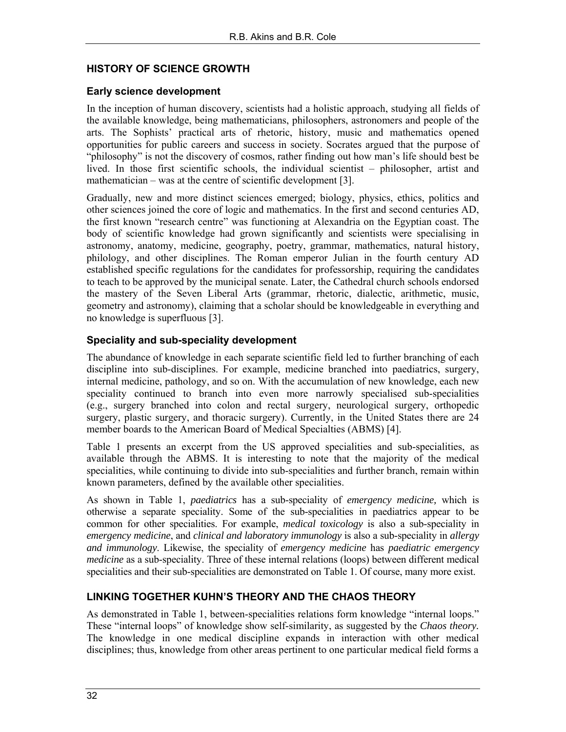#### **HISTORY OF SCIENCE GROWTH**

#### **Early science development**

In the inception of human discovery, scientists had a holistic approach, studying all fields of the available knowledge, being mathematicians, philosophers, astronomers and people of the arts. The Sophists' practical arts of rhetoric, history, music and mathematics opened opportunities for public careers and success in society. Socrates argued that the purpose of "philosophy" is not the discovery of cosmos, rather finding out how man's life should best be lived. In those first scientific schools, the individual scientist – philosopher, artist and mathematician – was at the centre of scientific development [3].

Gradually, new and more distinct sciences emerged; biology, physics, ethics, politics and other sciences joined the core of logic and mathematics. In the first and second centuries AD, the first known "research centre" was functioning at Alexandria on the Egyptian coast. The body of scientific knowledge had grown significantly and scientists were specialising in astronomy, anatomy, medicine, geography, poetry, grammar, mathematics, natural history, philology, and other disciplines. The Roman emperor Julian in the fourth century AD established specific regulations for the candidates for professorship, requiring the candidates to teach to be approved by the municipal senate. Later, the Cathedral church schools endorsed the mastery of the Seven Liberal Arts (grammar, rhetoric, dialectic, arithmetic, music, geometry and astronomy), claiming that a scholar should be knowledgeable in everything and no knowledge is superfluous [3].

#### **Speciality and sub-speciality development**

The abundance of knowledge in each separate scientific field led to further branching of each discipline into sub-disciplines. For example, medicine branched into paediatrics, surgery, internal medicine, pathology, and so on. With the accumulation of new knowledge, each new speciality continued to branch into even more narrowly specialised sub-specialities (e.g., surgery branched into colon and rectal surgery, neurological surgery, orthopedic surgery, plastic surgery, and thoracic surgery). Currently, in the United States there are 24 member boards to the American Board of Medical Specialties (ABMS) [4].

Table 1 presents an excerpt from the US approved specialities and sub-specialities, as available through the ABMS. It is interesting to note that the majority of the medical specialities, while continuing to divide into sub-specialities and further branch, remain within known parameters, defined by the available other specialities.

As shown in Table 1, *paediatrics* has a sub-speciality of *emergency medicine,* which is otherwise a separate speciality. Some of the sub-specialities in paediatrics appear to be common for other specialities. For example, *medical toxicology* is also a sub-speciality in *emergency medicine*, and *clinical and laboratory immunology* is also a sub-speciality in *allergy and immunology*. Likewise, the speciality of *emergency medicine* has *paediatric emergency medicine* as a sub-speciality. Three of these internal relations (loops) between different medical specialities and their sub-specialities are demonstrated on Table 1. Of course, many more exist.

#### **LINKING TOGETHER KUHN'S THEORY AND THE CHAOS THEORY**

As demonstrated in Table 1, between-specialities relations form knowledge "internal loops." These "internal loops" of knowledge show self-similarity, as suggested by the *Chaos theory.*  The knowledge in one medical discipline expands in interaction with other medical disciplines; thus, knowledge from other areas pertinent to one particular medical field forms a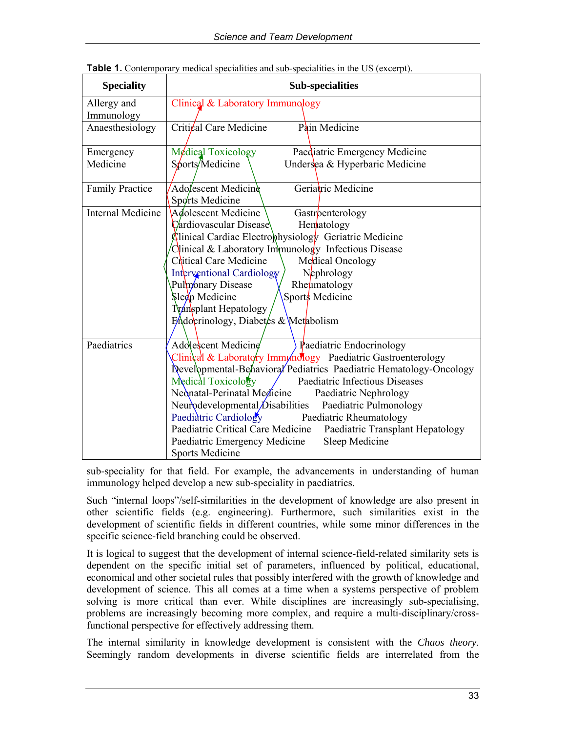| <b>Speciality</b>         | <b>Sub-specialities</b>                                               |  |  |  |  |  |  |
|---------------------------|-----------------------------------------------------------------------|--|--|--|--|--|--|
| Allergy and<br>Immunology | Clinical & Laboratory Immunology                                      |  |  |  |  |  |  |
| Anaesthesiology           | Critical Care Medicine<br>Pain Medicine                               |  |  |  |  |  |  |
| Emergency                 | Medical Toxicology<br>Paediatric Emergency Medicine                   |  |  |  |  |  |  |
| Medicine                  | Sports/Medicine<br>Undersea & Hyperbaric Medicine                     |  |  |  |  |  |  |
| <b>Family Practice</b>    | Geriatric Medicine<br>Adolescent Medicine<br>Sports Medicine          |  |  |  |  |  |  |
| <b>Internal Medicine</b>  | Adolescent Medicine<br>Gastroenterology                               |  |  |  |  |  |  |
|                           | Hematology<br>Cardiovascular Disease                                  |  |  |  |  |  |  |
|                           | $\oint$ linical Cardiac Electro $\phi$ hysiology Geriatric Medicine   |  |  |  |  |  |  |
|                           | $C$ linical & Laboratory Immunology Infectious Disease                |  |  |  |  |  |  |
|                           | Chitical Care Medicine<br>Medical Oncology                            |  |  |  |  |  |  |
|                           | Nephrology<br><b>Interventional Cardiology</b>                        |  |  |  |  |  |  |
|                           | Pulmonary Disease<br>Rheumatology                                     |  |  |  |  |  |  |
|                           | Sleep Medicine<br>Sports Medicine                                     |  |  |  |  |  |  |
|                           | Transplant Hepatology                                                 |  |  |  |  |  |  |
|                           | Endocrinology, Diabetes & Metabolism                                  |  |  |  |  |  |  |
|                           |                                                                       |  |  |  |  |  |  |
| Paediatrics               | Adolescent Medicine<br>$\sqrt{\mathbf{P}}$ aediatric Endocrinology    |  |  |  |  |  |  |
|                           | Clinical & Laboratory Immunology Paediatric Gastroenterology          |  |  |  |  |  |  |
|                           | Developmental-Behavioral Pediatrics Paediatric Hematology-Oncology    |  |  |  |  |  |  |
|                           | Medical Toxicology<br>Paediatric Infectious Diseases                  |  |  |  |  |  |  |
|                           | Neonatal-Perinatal Medicine<br>Paediatric Nephrology                  |  |  |  |  |  |  |
|                           | Neurodevelopmental/Disabilities<br>Paediatric Pulmonology             |  |  |  |  |  |  |
|                           | Paediatric Cardiology<br>Paediatric Rheumatology                      |  |  |  |  |  |  |
|                           | Paediatric Critical Care Medicine<br>Paediatric Transplant Hepatology |  |  |  |  |  |  |
|                           | Sleep Medicine<br>Paediatric Emergency Medicine                       |  |  |  |  |  |  |
|                           | <b>Sports Medicine</b>                                                |  |  |  |  |  |  |

| <b>Table 1.</b> Contemporary medical specialities and sub-specialities in the US (excerpt). |  |  |  |
|---------------------------------------------------------------------------------------------|--|--|--|
|                                                                                             |  |  |  |

sub-speciality for that field. For example, the advancements in understanding of human immunology helped develop a new sub-speciality in paediatrics.

Such "internal loops"/self-similarities in the development of knowledge are also present in other scientific fields (e.g. engineering). Furthermore, such similarities exist in the development of scientific fields in different countries, while some minor differences in the specific science-field branching could be observed.

It is logical to suggest that the development of internal science-field-related similarity sets is dependent on the specific initial set of parameters, influenced by political, educational, economical and other societal rules that possibly interfered with the growth of knowledge and development of science. This all comes at a time when a systems perspective of problem solving is more critical than ever. While disciplines are increasingly sub-specialising, problems are increasingly becoming more complex, and require a multi-disciplinary/crossfunctional perspective for effectively addressing them.

The internal similarity in knowledge development is consistent with the *Chaos theory*. Seemingly random developments in diverse scientific fields are interrelated from the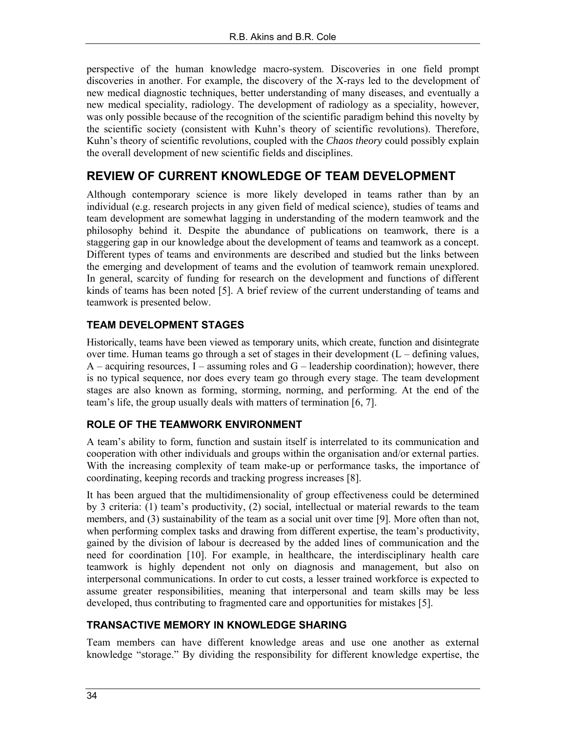perspective of the human knowledge macro-system. Discoveries in one field prompt discoveries in another. For example, the discovery of the X-rays led to the development of new medical diagnostic techniques, better understanding of many diseases, and eventually a new medical speciality, radiology. The development of radiology as a speciality, however, was only possible because of the recognition of the scientific paradigm behind this novelty by the scientific society (consistent with Kuhn's theory of scientific revolutions). Therefore, Kuhn's theory of scientific revolutions, coupled with the *Chaos theory* could possibly explain the overall development of new scientific fields and disciplines.

### **REVIEW OF CURRENT KNOWLEDGE OF TEAM DEVELOPMENT**

Although contemporary science is more likely developed in teams rather than by an individual (e.g. research projects in any given field of medical science), studies of teams and team development are somewhat lagging in understanding of the modern teamwork and the philosophy behind it. Despite the abundance of publications on teamwork, there is a staggering gap in our knowledge about the development of teams and teamwork as a concept. Different types of teams and environments are described and studied but the links between the emerging and development of teams and the evolution of teamwork remain unexplored. In general, scarcity of funding for research on the development and functions of different kinds of teams has been noted [5]. A brief review of the current understanding of teams and teamwork is presented below.

#### **TEAM DEVELOPMENT STAGES**

Historically, teams have been viewed as temporary units, which create, function and disintegrate over time. Human teams go through a set of stages in their development  $(L - defining$  values,  $A$  – acquiring resources, I – assuming roles and  $G$  – leadership coordination); however, there is no typical sequence, nor does every team go through every stage. The team development stages are also known as forming, storming, norming, and performing. At the end of the team's life, the group usually deals with matters of termination [6, 7].

#### **ROLE OF THE TEAMWORK ENVIRONMENT**

A team's ability to form, function and sustain itself is interrelated to its communication and cooperation with other individuals and groups within the organisation and/or external parties. With the increasing complexity of team make-up or performance tasks, the importance of coordinating, keeping records and tracking progress increases [8].

It has been argued that the multidimensionality of group effectiveness could be determined by 3 criteria: (1) team's productivity, (2) social, intellectual or material rewards to the team members, and (3) sustainability of the team as a social unit over time [9]. More often than not, when performing complex tasks and drawing from different expertise, the team's productivity, gained by the division of labour is decreased by the added lines of communication and the need for coordination [10]. For example, in healthcare, the interdisciplinary health care teamwork is highly dependent not only on diagnosis and management, but also on interpersonal communications. In order to cut costs, a lesser trained workforce is expected to assume greater responsibilities, meaning that interpersonal and team skills may be less developed, thus contributing to fragmented care and opportunities for mistakes [5].

#### **TRANSACTIVE MEMORY IN KNOWLEDGE SHARING**

Team members can have different knowledge areas and use one another as external knowledge "storage." By dividing the responsibility for different knowledge expertise, the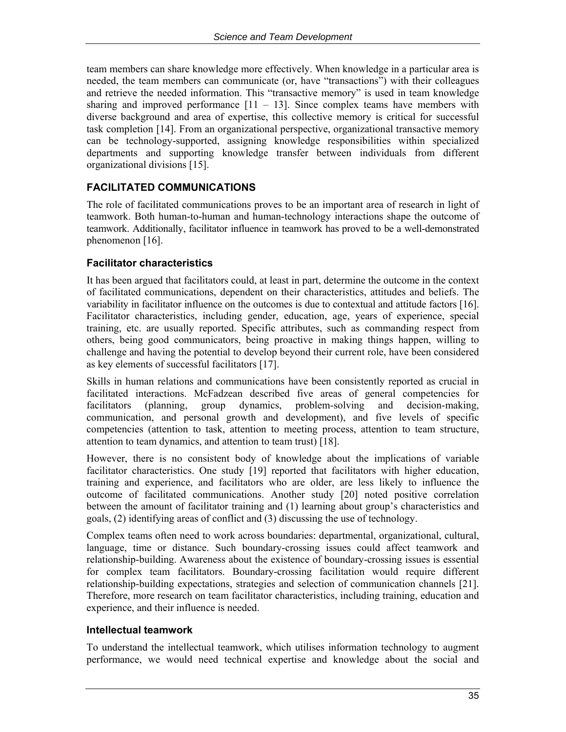team members can share knowledge more effectively. When knowledge in a particular area is needed, the team members can communicate (or, have "transactions") with their colleagues and retrieve the needed information. This "transactive memory" is used in team knowledge sharing and improved performance  $[11 - 13]$ . Since complex teams have members with diverse background and area of expertise, this collective memory is critical for successful task completion [14]. From an organizational perspective, organizational transactive memory can be technology-supported, assigning knowledge responsibilities within specialized departments and supporting knowledge transfer between individuals from different organizational divisions [15].

#### **FACILITATED COMMUNICATIONS**

The role of facilitated communications proves to be an important area of research in light of teamwork. Both human-to-human and human-technology interactions shape the outcome of teamwork. Additionally, facilitator influence in teamwork has proved to be a well-demonstrated phenomenon [16].

#### **Facilitator characteristics**

It has been argued that facilitators could, at least in part, determine the outcome in the context of facilitated communications, dependent on their characteristics, attitudes and beliefs. The variability in facilitator influence on the outcomes is due to contextual and attitude factors [16]. Facilitator characteristics, including gender, education, age, years of experience, special training, etc. are usually reported. Specific attributes, such as commanding respect from others, being good communicators, being proactive in making things happen, willing to challenge and having the potential to develop beyond their current role, have been considered as key elements of successful facilitators [17].

Skills in human relations and communications have been consistently reported as crucial in facilitated interactions. McFadzean described five areas of general competencies for facilitators (planning, group dynamics, problem-solving and decision-making, communication, and personal growth and development), and five levels of specific competencies (attention to task, attention to meeting process, attention to team structure, attention to team dynamics, and attention to team trust) [18].

However, there is no consistent body of knowledge about the implications of variable facilitator characteristics. One study [19] reported that facilitators with higher education, training and experience, and facilitators who are older, are less likely to influence the outcome of facilitated communications. Another study [20] noted positive correlation between the amount of facilitator training and (1) learning about group's characteristics and goals, (2) identifying areas of conflict and (3) discussing the use of technology.

Complex teams often need to work across boundaries: departmental, organizational, cultural, language, time or distance. Such boundary-crossing issues could affect teamwork and relationship-building. Awareness about the existence of boundary-crossing issues is essential for complex team facilitators. Boundary-crossing facilitation would require different relationship-building expectations, strategies and selection of communication channels [21]. Therefore, more research on team facilitator characteristics, including training, education and experience, and their influence is needed.

#### **Intellectual teamwork**

To understand the intellectual teamwork, which utilises information technology to augment performance, we would need technical expertise and knowledge about the social and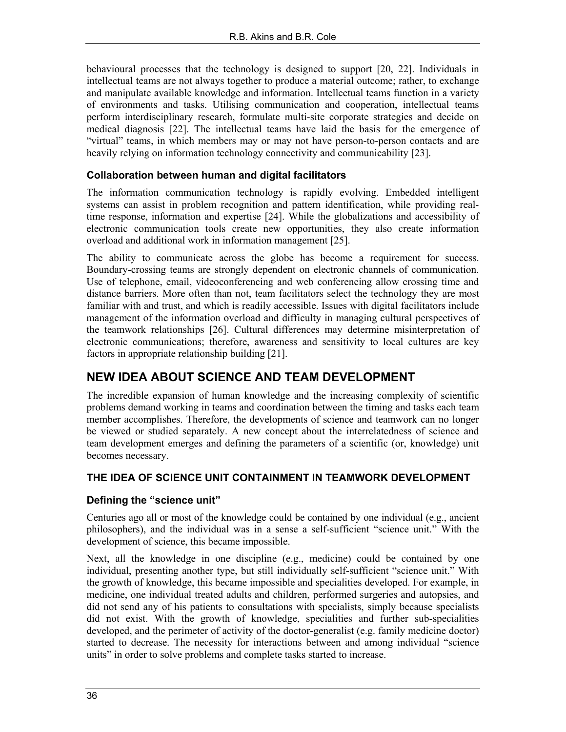behavioural processes that the technology is designed to support [20, 22]. Individuals in intellectual teams are not always together to produce a material outcome; rather, to exchange and manipulate available knowledge and information. Intellectual teams function in a variety of environments and tasks. Utilising communication and cooperation, intellectual teams perform interdisciplinary research, formulate multi-site corporate strategies and decide on medical diagnosis [22]. The intellectual teams have laid the basis for the emergence of "virtual" teams, in which members may or may not have person-to-person contacts and are heavily relying on information technology connectivity and communicability [23].

#### **Collaboration between human and digital facilitators**

The information communication technology is rapidly evolving. Embedded intelligent systems can assist in problem recognition and pattern identification, while providing realtime response, information and expertise [24]. While the globalizations and accessibility of electronic communication tools create new opportunities, they also create information overload and additional work in information management [25].

The ability to communicate across the globe has become a requirement for success. Boundary-crossing teams are strongly dependent on electronic channels of communication. Use of telephone, email, videoconferencing and web conferencing allow crossing time and distance barriers. More often than not, team facilitators select the technology they are most familiar with and trust, and which is readily accessible. Issues with digital facilitators include management of the information overload and difficulty in managing cultural perspectives of the teamwork relationships [26]. Cultural differences may determine misinterpretation of electronic communications; therefore, awareness and sensitivity to local cultures are key factors in appropriate relationship building [21].

## **NEW IDEA ABOUT SCIENCE AND TEAM DEVELOPMENT**

The incredible expansion of human knowledge and the increasing complexity of scientific problems demand working in teams and coordination between the timing and tasks each team member accomplishes. Therefore, the developments of science and teamwork can no longer be viewed or studied separately. A new concept about the interrelatedness of science and team development emerges and defining the parameters of a scientific (or, knowledge) unit becomes necessary.

#### **THE IDEA OF SCIENCE UNIT CONTAINMENT IN TEAMWORK DEVELOPMENT**

#### **Defining the "science unit"**

Centuries ago all or most of the knowledge could be contained by one individual (e.g., ancient philosophers), and the individual was in a sense a self-sufficient "science unit." With the development of science, this became impossible.

Next, all the knowledge in one discipline (e.g., medicine) could be contained by one individual, presenting another type, but still individually self-sufficient "science unit." With the growth of knowledge, this became impossible and specialities developed. For example, in medicine, one individual treated adults and children, performed surgeries and autopsies, and did not send any of his patients to consultations with specialists, simply because specialists did not exist. With the growth of knowledge, specialities and further sub-specialities developed, and the perimeter of activity of the doctor-generalist (e.g. family medicine doctor) started to decrease. The necessity for interactions between and among individual "science units" in order to solve problems and complete tasks started to increase.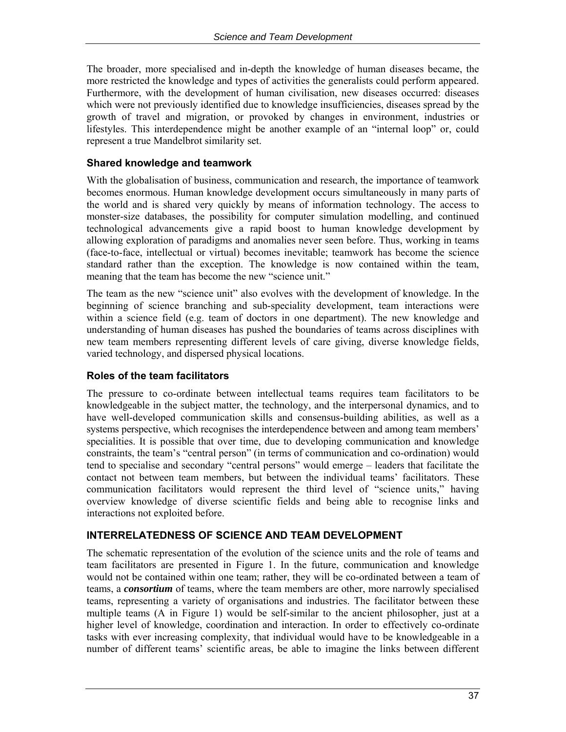The broader, more specialised and in-depth the knowledge of human diseases became, the more restricted the knowledge and types of activities the generalists could perform appeared. Furthermore, with the development of human civilisation, new diseases occurred: diseases which were not previously identified due to knowledge insufficiencies, diseases spread by the growth of travel and migration, or provoked by changes in environment, industries or lifestyles. This interdependence might be another example of an "internal loop" or, could represent a true Mandelbrot similarity set.

#### **Shared knowledge and teamwork**

With the globalisation of business, communication and research, the importance of teamwork becomes enormous. Human knowledge development occurs simultaneously in many parts of the world and is shared very quickly by means of information technology. The access to monster-size databases, the possibility for computer simulation modelling, and continued technological advancements give a rapid boost to human knowledge development by allowing exploration of paradigms and anomalies never seen before. Thus, working in teams (face-to-face, intellectual or virtual) becomes inevitable; teamwork has become the science standard rather than the exception. The knowledge is now contained within the team, meaning that the team has become the new "science unit."

The team as the new "science unit" also evolves with the development of knowledge. In the beginning of science branching and sub-speciality development, team interactions were within a science field (e.g. team of doctors in one department). The new knowledge and understanding of human diseases has pushed the boundaries of teams across disciplines with new team members representing different levels of care giving, diverse knowledge fields, varied technology, and dispersed physical locations.

#### **Roles of the team facilitators**

The pressure to co-ordinate between intellectual teams requires team facilitators to be knowledgeable in the subject matter, the technology, and the interpersonal dynamics, and to have well-developed communication skills and consensus-building abilities, as well as a systems perspective, which recognises the interdependence between and among team members' specialities. It is possible that over time, due to developing communication and knowledge constraints, the team's "central person" (in terms of communication and co-ordination) would tend to specialise and secondary "central persons" would emerge – leaders that facilitate the contact not between team members, but between the individual teams' facilitators. These communication facilitators would represent the third level of "science units," having overview knowledge of diverse scientific fields and being able to recognise links and interactions not exploited before.

#### **INTERRELATEDNESS OF SCIENCE AND TEAM DEVELOPMENT**

The schematic representation of the evolution of the science units and the role of teams and team facilitators are presented in Figure 1. In the future, communication and knowledge would not be contained within one team; rather, they will be co-ordinated between a team of teams, a *consortium* of teams, where the team members are other, more narrowly specialised teams, representing a variety of organisations and industries. The facilitator between these multiple teams (A in Figure 1) would be self-similar to the ancient philosopher, just at a higher level of knowledge, coordination and interaction. In order to effectively co-ordinate tasks with ever increasing complexity, that individual would have to be knowledgeable in a number of different teams' scientific areas, be able to imagine the links between different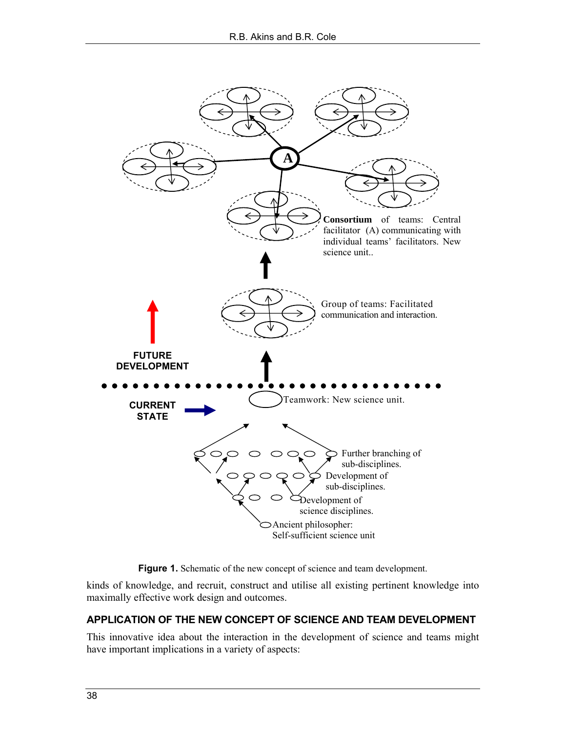



kinds of knowledge, and recruit, construct and utilise all existing pertinent knowledge into maximally effective work design and outcomes.

#### **APPLICATION OF THE NEW CONCEPT OF SCIENCE AND TEAM DEVELOPMENT**

This innovative idea about the interaction in the development of science and teams might have important implications in a variety of aspects: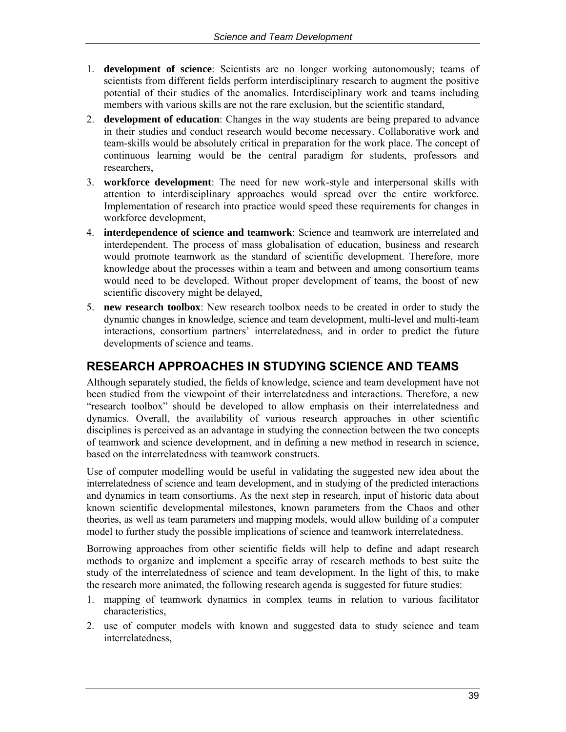- 1. **development of science**: Scientists are no longer working autonomously; teams of scientists from different fields perform interdisciplinary research to augment the positive potential of their studies of the anomalies. Interdisciplinary work and teams including members with various skills are not the rare exclusion, but the scientific standard,
- 2. **development of education**: Changes in the way students are being prepared to advance in their studies and conduct research would become necessary. Collaborative work and team-skills would be absolutely critical in preparation for the work place. The concept of continuous learning would be the central paradigm for students, professors and researchers,
- 3. **workforce development**: The need for new work-style and interpersonal skills with attention to interdisciplinary approaches would spread over the entire workforce. Implementation of research into practice would speed these requirements for changes in workforce development,
- 4. **interdependence of science and teamwork**: Science and teamwork are interrelated and interdependent. The process of mass globalisation of education, business and research would promote teamwork as the standard of scientific development. Therefore, more knowledge about the processes within a team and between and among consortium teams would need to be developed. Without proper development of teams, the boost of new scientific discovery might be delayed,
- 5. **new research toolbox**: New research toolbox needs to be created in order to study the dynamic changes in knowledge, science and team development, multi-level and multi-team interactions, consortium partners' interrelatedness, and in order to predict the future developments of science and teams.

## **RESEARCH APPROACHES IN STUDYING SCIENCE AND TEAMS**

Although separately studied, the fields of knowledge, science and team development have not been studied from the viewpoint of their interrelatedness and interactions. Therefore, a new "research toolbox" should be developed to allow emphasis on their interrelatedness and dynamics. Overall, the availability of various research approaches in other scientific disciplines is perceived as an advantage in studying the connection between the two concepts of teamwork and science development, and in defining a new method in research in science, based on the interrelatedness with teamwork constructs.

Use of computer modelling would be useful in validating the suggested new idea about the interrelatedness of science and team development, and in studying of the predicted interactions and dynamics in team consortiums. As the next step in research, input of historic data about known scientific developmental milestones, known parameters from the Chaos and other theories, as well as team parameters and mapping models, would allow building of a computer model to further study the possible implications of science and teamwork interrelatedness.

Borrowing approaches from other scientific fields will help to define and adapt research methods to organize and implement a specific array of research methods to best suite the study of the interrelatedness of science and team development. In the light of this, to make the research more animated, the following research agenda is suggested for future studies:

- 1. mapping of teamwork dynamics in complex teams in relation to various facilitator characteristics,
- 2. use of computer models with known and suggested data to study science and team interrelatedness,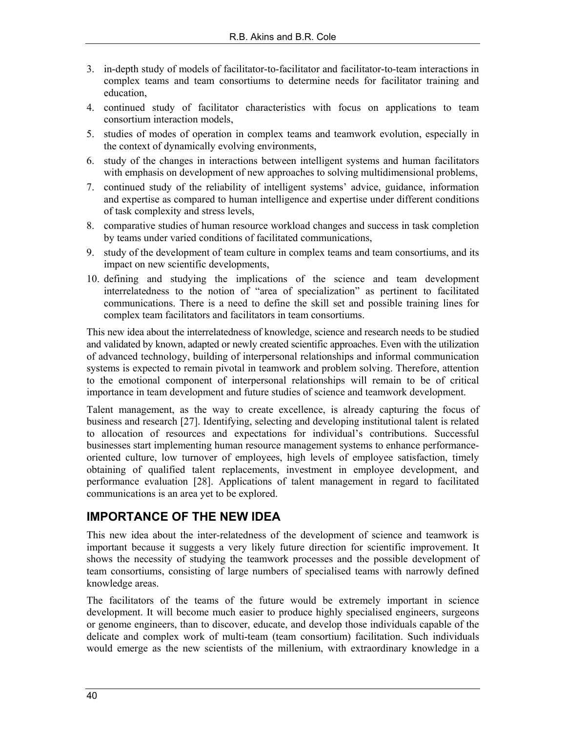- 3. in-depth study of models of facilitator-to-facilitator and facilitator-to-team interactions in complex teams and team consortiums to determine needs for facilitator training and education,
- 4. continued study of facilitator characteristics with focus on applications to team consortium interaction models,
- 5. studies of modes of operation in complex teams and teamwork evolution, especially in the context of dynamically evolving environments,
- 6. study of the changes in interactions between intelligent systems and human facilitators with emphasis on development of new approaches to solving multidimensional problems,
- 7. continued study of the reliability of intelligent systems' advice, guidance, information and expertise as compared to human intelligence and expertise under different conditions of task complexity and stress levels,
- 8. comparative studies of human resource workload changes and success in task completion by teams under varied conditions of facilitated communications,
- 9. study of the development of team culture in complex teams and team consortiums, and its impact on new scientific developments,
- 10. defining and studying the implications of the science and team development interrelatedness to the notion of "area of specialization" as pertinent to facilitated communications. There is a need to define the skill set and possible training lines for complex team facilitators and facilitators in team consortiums.

This new idea about the interrelatedness of knowledge, science and research needs to be studied and validated by known, adapted or newly created scientific approaches. Even with the utilization of advanced technology, building of interpersonal relationships and informal communication systems is expected to remain pivotal in teamwork and problem solving. Therefore, attention to the emotional component of interpersonal relationships will remain to be of critical importance in team development and future studies of science and teamwork development.

Talent management, as the way to create excellence, is already capturing the focus of business and research [27]. Identifying, selecting and developing institutional talent is related to allocation of resources and expectations for individual's contributions. Successful businesses start implementing human resource management systems to enhance performanceoriented culture, low turnover of employees, high levels of employee satisfaction, timely obtaining of qualified talent replacements, investment in employee development, and performance evaluation [28]. Applications of talent management in regard to facilitated communications is an area yet to be explored.

## **IMPORTANCE OF THE NEW IDEA**

This new idea about the inter-relatedness of the development of science and teamwork is important because it suggests a very likely future direction for scientific improvement. It shows the necessity of studying the teamwork processes and the possible development of team consortiums, consisting of large numbers of specialised teams with narrowly defined knowledge areas.

The facilitators of the teams of the future would be extremely important in science development. It will become much easier to produce highly specialised engineers, surgeons or genome engineers, than to discover, educate, and develop those individuals capable of the delicate and complex work of multi-team (team consortium) facilitation. Such individuals would emerge as the new scientists of the millenium, with extraordinary knowledge in a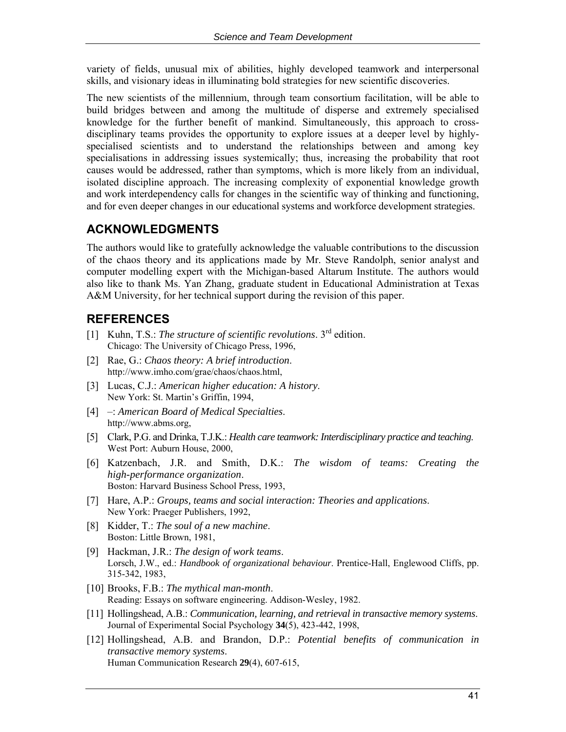variety of fields, unusual mix of abilities, highly developed teamwork and interpersonal skills, and visionary ideas in illuminating bold strategies for new scientific discoveries.

The new scientists of the millennium, through team consortium facilitation, will be able to build bridges between and among the multitude of disperse and extremely specialised knowledge for the further benefit of mankind. Simultaneously, this approach to crossdisciplinary teams provides the opportunity to explore issues at a deeper level by highlyspecialised scientists and to understand the relationships between and among key specialisations in addressing issues systemically; thus, increasing the probability that root causes would be addressed, rather than symptoms, which is more likely from an individual, isolated discipline approach. The increasing complexity of exponential knowledge growth and work interdependency calls for changes in the scientific way of thinking and functioning, and for even deeper changes in our educational systems and workforce development strategies.

## **ACKNOWLEDGMENTS**

The authors would like to gratefully acknowledge the valuable contributions to the discussion of the chaos theory and its applications made by Mr. Steve Randolph, senior analyst and computer modelling expert with the Michigan-based Altarum Institute. The authors would also like to thank Ms. Yan Zhang, graduate student in Educational Administration at Texas A&M University, for her technical support during the revision of this paper.

## **REFERENCES**

- [1] Kuhn, T.S.: *The structure of scientific revolutions*. 3rd edition. Chicago: The University of Chicago Press, 1996,
- [2] Rae, G.: *Chaos theory: A brief introduction*. [http://www.imho.com/grae/chaos/chaos.html,](http://www.imho.com/grae/chaos/chaos.html)
- [3] Lucas, C.J.: *American higher education: A history*. New York: St. Martin's Griffin, 1994,
- [4] –: *American Board of Medical Specialties*. [http://www.abms.org,](http://www.abms.org)
- [5] Clark, P.G. and Drinka, T.J.K.: *Health care teamwork: Interdisciplinary practice and teaching*. West Port: Auburn House, 2000,
- [6] Katzenbach, J.R. and Smith, D.K.: *The wisdom of teams: Creating the high-performance organization*. Boston: Harvard Business School Press, 1993,
- [7] Hare, A.P.: *Groups, teams and social interaction: Theories and applications*. New York: Praeger Publishers, 1992,
- [8] Kidder, T.: *The soul of a new machine*. Boston: Little Brown, 1981,
- [9] Hackman, J.R.: *The design of work teams*. Lorsch, J.W., ed.: *Handbook of organizational behaviour*. Prentice-Hall, Englewood Cliffs, pp. 315-342, 1983,
- [10] Brooks, F.B.: *The mythical man-month*. Reading: Essays on software engineering. Addison-Wesley, 1982.
- [11] Hollingshead, A.B.: *Communication, learning, and retrieval in transactive memory systems*. Journal of Experimental Social Psychology **34**(5), 423-442, 1998,
- [12] Hollingshead, A.B. and Brandon, D.P.: *Potential benefits of communication in transactive memory systems*. Human Communication Research **29**(4), 607-615,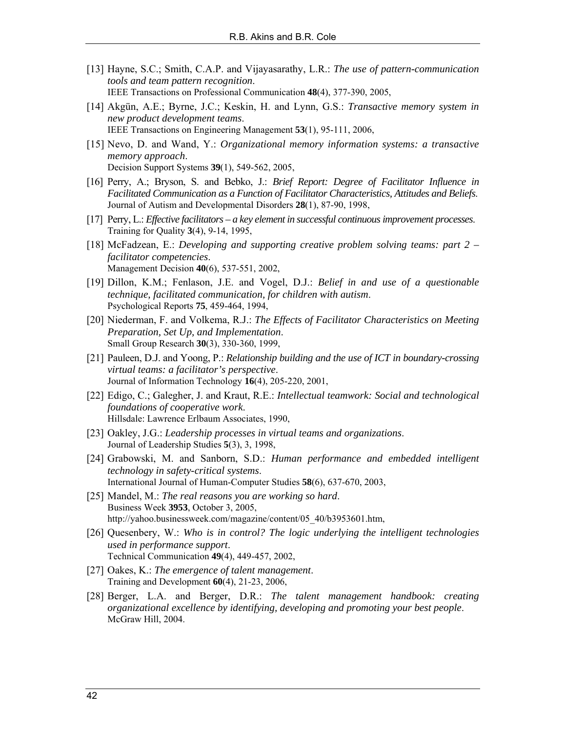- [13] Hayne, S.C.; Smith, C.A.P. and Vijayasarathy, L.R.: *The use of pattern-communication tools and team pattern recognition*. IEEE Transactions on Professional Communication **48**(4), 377-390, 2005,
- [14] Akgün, A.E.; Byrne, J.C.; Keskin, H. and Lynn, G.S.: *Transactive memory system in new product development teams*. IEEE Transactions on Engineering Management **53**(1), 95-111, 2006,
- [15] Nevo, D. and Wand, Y.: *Organizational memory information systems: a transactive memory approach*. Decision Support Systems **39**(1), 549-562, 2005,
- [16] Perry, A.; Bryson, S. and Bebko, J.: *Brief Report: Degree of Facilitator Influence in Facilitated Communication as a Function of Facilitator Characteristics, Attitudes and Beliefs*. Journal of Autism and Developmental Disorders **28**(1), 87-90, 1998,
- [17] Perry, L.: *Effective facilitators a key element in successful continuous improvement processes*. Training for Quality **3**(4), 9-14, 1995,
- [18] McFadzean, E.: *Developing and supporting creative problem solving teams: part 2 facilitator competencies*. Management Decision **40**(6), 537-551, 2002,
- [19] Dillon, K.M.; Fenlason, J.E. and Vogel, D.J.: *Belief in and use of a questionable technique, facilitated communication, for children with autism*. Psychological Reports **75**, 459-464, 1994,
- [20] Niederman, F. and Volkema, R.J.: *The Effects of Facilitator Characteristics on Meeting Preparation, Set Up, and Implementation*. Small Group Research **30**(3), 330-360, 1999,
- [21] Pauleen, D.J. and Yoong, P.: *Relationship building and the use of ICT in boundary-crossing virtual teams: a facilitator's perspective*. Journal of Information Technology **16**(4), 205-220, 2001,
- [22] Edigo, C.; Galegher, J. and Kraut, R.E.: *Intellectual teamwork: Social and technological foundations of cooperative work*. Hillsdale: Lawrence Erlbaum Associates, 1990,
- [23] Oakley, J.G.: *Leadership processes in virtual teams and organizations*. Journal of Leadership Studies **5**(3), 3, 1998,
- [24] Grabowski, M. and Sanborn, S.D.: *Human performance and embedded intelligent technology in safety-critical systems*. International Journal of Human-Computer Studies **58**(6), 637-670, 2003,
- [25] Mandel, M.: *The real reasons you are working so hard*. Business Week **3953**, October 3, 2005, [http://yahoo.businessweek.com/magazine/content/05\\_40/b3953601.htm,](http://yahoo.businessweek.com/magazine/content/05_40/b3953601.htm)
- [26] Quesenbery, W.: *Who is in control? The logic underlying the intelligent technologies used in performance support*. Technical Communication **49**(4), 449-457, 2002,
- [27] Oakes, K.: *The emergence of talent management*. Training and Development **60**(4), 21-23, 2006,
- [28] Berger, L.A. and Berger, D.R.: *The talent management handbook: creating organizational excellence by identifying, developing and promoting your best people*. McGraw Hill, 2004.